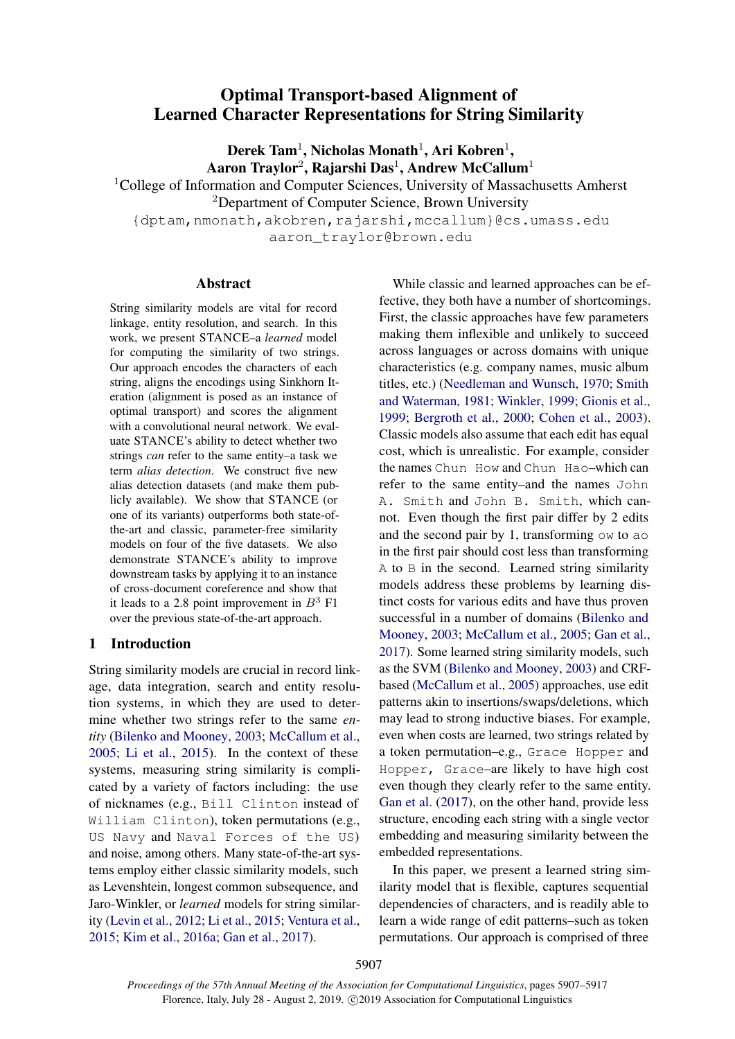# Optimal Transport-based Alignment of Learned Character Representations for String Similarity

 $\rm{Derek~Tam^1, Nicholas~Monath^1, Ari~Kobren^1,}$ Aaron Traylor $^2$ , Rajarshi Das $^1$ , Andrew McCallum $^1$ 

<sup>1</sup>College of Information and Computer Sciences, University of Massachusetts Amherst

<sup>2</sup>Department of Computer Science, Brown University

{dptam,nmonath,akobren,rajarshi,mccallum}@cs.umass.edu aaron\_traylor@brown.edu

#### Abstract

String similarity models are vital for record linkage, entity resolution, and search. In this work, we present STANCE–a *learned* model for computing the similarity of two strings. Our approach encodes the characters of each string, aligns the encodings using Sinkhorn Iteration (alignment is posed as an instance of optimal transport) and scores the alignment with a convolutional neural network. We evaluate STANCE's ability to detect whether two strings *can* refer to the same entity–a task we term *alias detection*. We construct five new alias detection datasets (and make them publicly available). We show that STANCE (or one of its variants) outperforms both state-ofthe-art and classic, parameter-free similarity models on four of the five datasets. We also demonstrate STANCE's ability to improve downstream tasks by applying it to an instance of cross-document coreference and show that it leads to a 2.8 point improvement in  $B^3$  F1 over the previous state-of-the-art approach.

#### 1 Introduction

String similarity models are crucial in record linkage, data integration, search and entity resolution systems, in which they are used to determine whether two strings refer to the same *entity* [\(Bilenko and Mooney,](#page-8-0) [2003;](#page-8-0) [McCallum et al.,](#page-10-0) [2005;](#page-10-0) [Li et al.,](#page-9-0) [2015\)](#page-9-0). In the context of these systems, measuring string similarity is complicated by a variety of factors including: the use of nicknames (e.g., Bill Clinton instead of William Clinton), token permutations (e.g., US Navy and Naval Forces of the US) and noise, among others. Many state-of-the-art systems employ either classic similarity models, such as Levenshtein, longest common subsequence, and Jaro-Winkler, or *learned* models for string similarity [\(Levin et al.,](#page-9-1) [2012;](#page-9-1) [Li et al.,](#page-9-0) [2015;](#page-9-0) [Ventura et al.,](#page-10-1) [2015;](#page-10-1) [Kim et al.,](#page-9-2) [2016a;](#page-9-2) [Gan et al.,](#page-9-3) [2017\)](#page-9-3).

While classic and learned approaches can be effective, they both have a number of shortcomings. First, the classic approaches have few parameters making them inflexible and unlikely to succeed across languages or across domains with unique characteristics (e.g. company names, music album titles, etc.) [\(Needleman and Wunsch,](#page-10-2) [1970;](#page-10-2) [Smith](#page-10-3) [and Waterman,](#page-10-3) [1981;](#page-10-3) [Winkler,](#page-10-4) [1999;](#page-10-4) [Gionis et al.,](#page-9-4) [1999;](#page-9-4) [Bergroth et al.,](#page-8-1) [2000;](#page-8-1) [Cohen et al.,](#page-9-5) [2003\)](#page-9-5). Classic models also assume that each edit has equal cost, which is unrealistic. For example, consider the names Chun How and Chun Hao–which can refer to the same entity–and the names John A. Smith and John B. Smith, which cannot. Even though the first pair differ by 2 edits and the second pair by 1, transforming ow to ao in the first pair should cost less than transforming A to B in the second. Learned string similarity models address these problems by learning distinct costs for various edits and have thus proven successful in a number of domains [\(Bilenko and](#page-8-0) [Mooney,](#page-8-0) [2003;](#page-8-0) [McCallum et al.,](#page-10-0) [2005;](#page-10-0) [Gan et al.,](#page-9-3) [2017\)](#page-9-3). Some learned string similarity models, such as the SVM [\(Bilenko and Mooney,](#page-8-0) [2003\)](#page-8-0) and CRFbased [\(McCallum et al.,](#page-10-0) [2005\)](#page-10-0) approaches, use edit patterns akin to insertions/swaps/deletions, which may lead to strong inductive biases. For example, even when costs are learned, two strings related by a token permutation–e.g., Grace Hopper and Hopper, Grace–are likely to have high cost even though they clearly refer to the same entity. [Gan et al.](#page-9-3) [\(2017\)](#page-9-3), on the other hand, provide less structure, encoding each string with a single vector embedding and measuring similarity between the embedded representations.

In this paper, we present a learned string similarity model that is flexible, captures sequential dependencies of characters, and is readily able to learn a wide range of edit patterns–such as token permutations. Our approach is comprised of three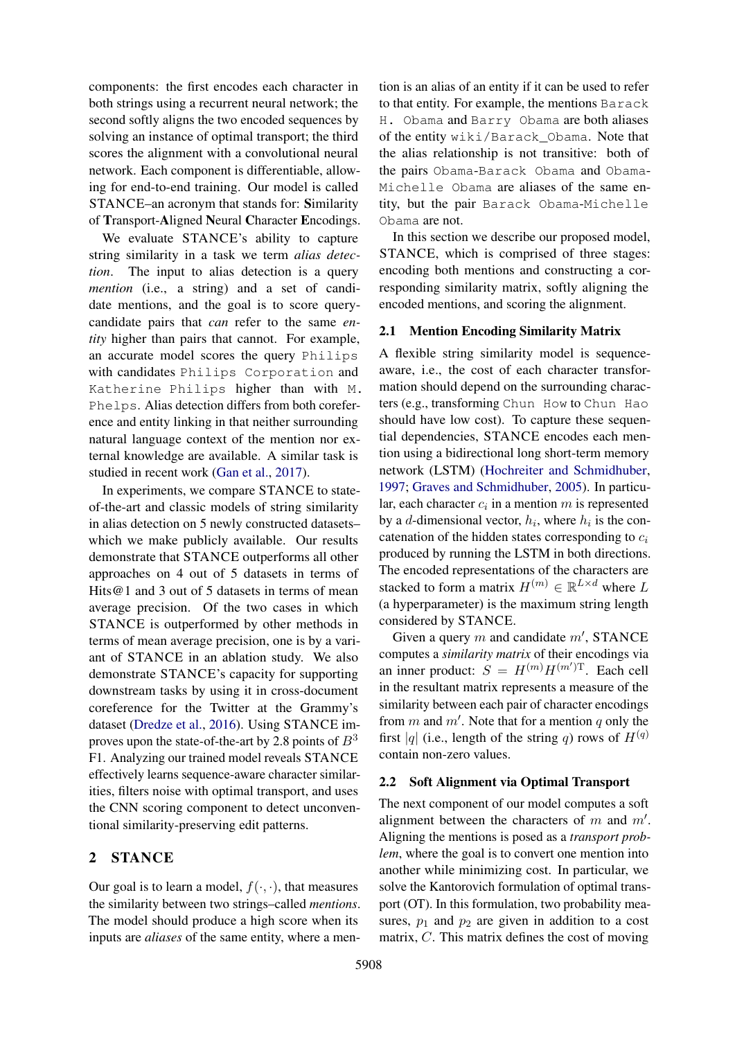components: the first encodes each character in both strings using a recurrent neural network; the second softly aligns the two encoded sequences by solving an instance of optimal transport; the third scores the alignment with a convolutional neural network. Each component is differentiable, allowing for end-to-end training. Our model is called STANCE–an acronym that stands for: Similarity of Transport-Aligned Neural Character Encodings.

We evaluate STANCE's ability to capture string similarity in a task we term *alias detection*. The input to alias detection is a query *mention* (i.e., a string) and a set of candidate mentions, and the goal is to score querycandidate pairs that *can* refer to the same *entity* higher than pairs that cannot. For example, an accurate model scores the query Philips with candidates Philips Corporation and Katherine Philips higher than with M. Phelps. Alias detection differs from both coreference and entity linking in that neither surrounding natural language context of the mention nor external knowledge are available. A similar task is studied in recent work [\(Gan et al.,](#page-9-3) [2017\)](#page-9-3).

In experiments, we compare STANCE to stateof-the-art and classic models of string similarity in alias detection on 5 newly constructed datasets– which we make publicly available. Our results demonstrate that STANCE outperforms all other approaches on 4 out of 5 datasets in terms of Hits@1 and 3 out of 5 datasets in terms of mean average precision. Of the two cases in which STANCE is outperformed by other methods in terms of mean average precision, one is by a variant of STANCE in an ablation study. We also demonstrate STANCE's capacity for supporting downstream tasks by using it in cross-document coreference for the Twitter at the Grammy's dataset [\(Dredze et al.,](#page-9-6) [2016\)](#page-9-6). Using STANCE improves upon the state-of-the-art by 2.8 points of  $B^3$ F1. Analyzing our trained model reveals STANCE effectively learns sequence-aware character similarities, filters noise with optimal transport, and uses the CNN scoring component to detect unconventional similarity-preserving edit patterns.

## 2 STANCE

Our goal is to learn a model,  $f(\cdot, \cdot)$ , that measures the similarity between two strings–called *mentions*. The model should produce a high score when its inputs are *aliases* of the same entity, where a mention is an alias of an entity if it can be used to refer to that entity. For example, the mentions Barack H. Obama and Barry Obama are both aliases of the entity wiki/Barack\_Obama. Note that the alias relationship is not transitive: both of the pairs Obama-Barack Obama and Obama-Michelle Obama are aliases of the same entity, but the pair Barack Obama-Michelle Obama are not.

In this section we describe our proposed model, STANCE, which is comprised of three stages: encoding both mentions and constructing a corresponding similarity matrix, softly aligning the encoded mentions, and scoring the alignment.

### <span id="page-1-0"></span>2.1 Mention Encoding Similarity Matrix

A flexible string similarity model is sequenceaware, i.e., the cost of each character transformation should depend on the surrounding characters (e.g., transforming Chun How to Chun Hao should have low cost). To capture these sequential dependencies, STANCE encodes each mention using a bidirectional long short-term memory network (LSTM) [\(Hochreiter and Schmidhuber,](#page-9-7) [1997;](#page-9-7) [Graves and Schmidhuber,](#page-9-8) [2005\)](#page-9-8). In particular, each character  $c_i$  in a mention  $m$  is represented by a d-dimensional vector,  $h_i$ , where  $h_i$  is the concatenation of the hidden states corresponding to  $c_i$ produced by running the LSTM in both directions. The encoded representations of the characters are stacked to form a matrix  $H^{(m)} \in \mathbb{R}^{L \times d}$  where L (a hyperparameter) is the maximum string length considered by STANCE.

Given a query  $m$  and candidate  $m'$ , STANCE computes a *similarity matrix* of their encodings via an inner product:  $S = H^{(m)} H^{(m')T}$ . Each cell in the resultant matrix represents a measure of the similarity between each pair of character encodings from  $m$  and  $m'$ . Note that for a mention  $q$  only the first |q| (i.e., length of the string q) rows of  $H^{(q)}$ contain non-zero values.

#### <span id="page-1-1"></span>2.2 Soft Alignment via Optimal Transport

The next component of our model computes a soft alignment between the characters of  $m$  and  $m'$ . Aligning the mentions is posed as a *transport problem*, where the goal is to convert one mention into another while minimizing cost. In particular, we solve the Kantorovich formulation of optimal transport (OT). In this formulation, two probability measures,  $p_1$  and  $p_2$  are given in addition to a cost matrix, C. This matrix defines the cost of moving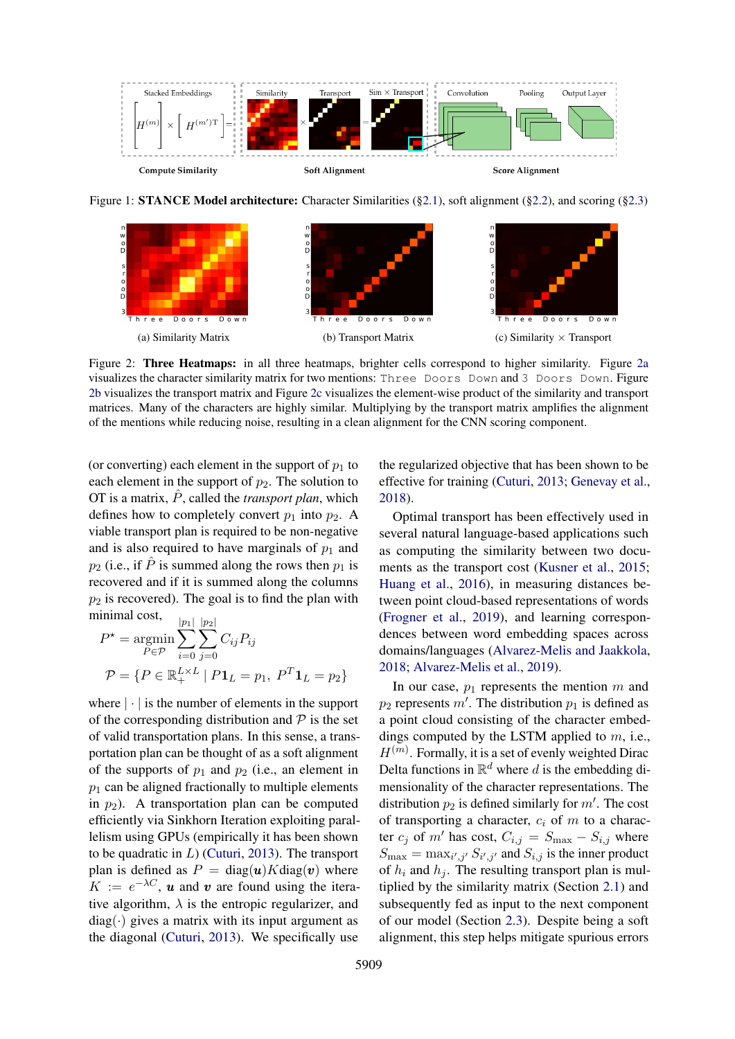<span id="page-2-1"></span>

Figure 1: **STANCE Model architecture:** Character Similarities ([§2.1\)](#page-1-0), soft alignment ([§2.2\)](#page-1-1), and scoring ([§2.3\)](#page-3-0)

<span id="page-2-0"></span>

Figure 2: Three Heatmaps: in all three heatmaps, brighter cells correspond to higher similarity. Figure [2a](#page-2-0) visualizes the character similarity matrix for two mentions: Three Doors Down and 3 Doors Down. Figure [2b](#page-2-0) visualizes the transport matrix and Figure [2c](#page-2-0) visualizes the element-wise product of the similarity and transport matrices. Many of the characters are highly similar. Multiplying by the transport matrix amplifies the alignment of the mentions while reducing noise, resulting in a clean alignment for the CNN scoring component.

(or converting) each element in the support of  $p_1$  to each element in the support of  $p_2$ . The solution to OT is a matrix,  $\hat{P}$ , called the *transport plan*, which defines how to completely convert  $p_1$  into  $p_2$ . A viable transport plan is required to be non-negative and is also required to have marginals of  $p_1$  and  $p_2$  (i.e., if  $\ddot{P}$  is summed along the rows then  $p_1$  is recovered and if it is summed along the columns  $p_2$  is recovered). The goal is to find the plan with minimal cost,

$$
P^* = \underset{P \in \mathcal{P}}{\operatorname{argmin}} \sum_{i=0}^{|p_1|} \sum_{j=0}^{|p_2|} C_{ij} P_{ij}
$$

$$
\mathcal{P} = \{ P \in \mathbb{R}_+^{L \times L} \mid P \mathbf{1}_L = p_1, \ P^T \mathbf{1}_L = p_2 \}
$$

where  $|\cdot|$  is the number of elements in the support of the corresponding distribution and  $P$  is the set of valid transportation plans. In this sense, a transportation plan can be thought of as a soft alignment of the supports of  $p_1$  and  $p_2$  (i.e., an element in  $p_1$  can be aligned fractionally to multiple elements in  $p_2$ ). A transportation plan can be computed efficiently via Sinkhorn Iteration exploiting parallelism using GPUs (empirically it has been shown to be quadratic in  $L$ ) [\(Cuturi,](#page-9-9) [2013\)](#page-9-9). The transport plan is defined as  $P = diag(u)Kdiag(v)$  where  $K := e^{-\lambda C}$ , **u** and **v** are found using the iterative algorithm,  $\lambda$  is the entropic regularizer, and  $diag(\cdot)$  gives a matrix with its input argument as the diagonal [\(Cuturi,](#page-9-9) [2013\)](#page-9-9). We specifically use

the regularized objective that has been shown to be effective for training [\(Cuturi,](#page-9-9) [2013;](#page-9-9) [Genevay et al.,](#page-9-10) [2018\)](#page-9-10).

Optimal transport has been effectively used in several natural language-based applications such as computing the similarity between two documents as the transport cost [\(Kusner et al.,](#page-9-11) [2015;](#page-9-11) [Huang et al.,](#page-9-12) [2016\)](#page-9-12), in measuring distances between point cloud-based representations of words [\(Frogner et al.,](#page-9-13) [2019\)](#page-9-13), and learning correspondences between word embedding spaces across domains/languages [\(Alvarez-Melis and Jaakkola,](#page-8-2) [2018;](#page-8-2) [Alvarez-Melis et al.,](#page-8-3) [2019\)](#page-8-3).

In our case,  $p_1$  represents the mention m and  $p_2$  represents m'. The distribution  $p_1$  is defined as a point cloud consisting of the character embeddings computed by the LSTM applied to  $m$ , i.e.,  $H^{(m)}$ . Formally, it is a set of evenly weighted Dirac Delta functions in  $\mathbb{R}^d$  where d is the embedding dimensionality of the character representations. The distribution  $p_2$  is defined similarly for m'. The cost of transporting a character,  $c_i$  of m to a character  $c_j$  of m' has cost,  $C_{i,j} = S_{\text{max}} - S_{i,j}$  where  $S_{\text{max}} = \max_{i',j'} S_{i',j'}$  and  $S_{i,j}$  is the inner product of  $h_i$  and  $h_j$ . The resulting transport plan is multiplied by the similarity matrix (Section [2.1\)](#page-1-0) and subsequently fed as input to the next component of our model (Section [2.3\)](#page-3-0). Despite being a soft alignment, this step helps mitigate spurious errors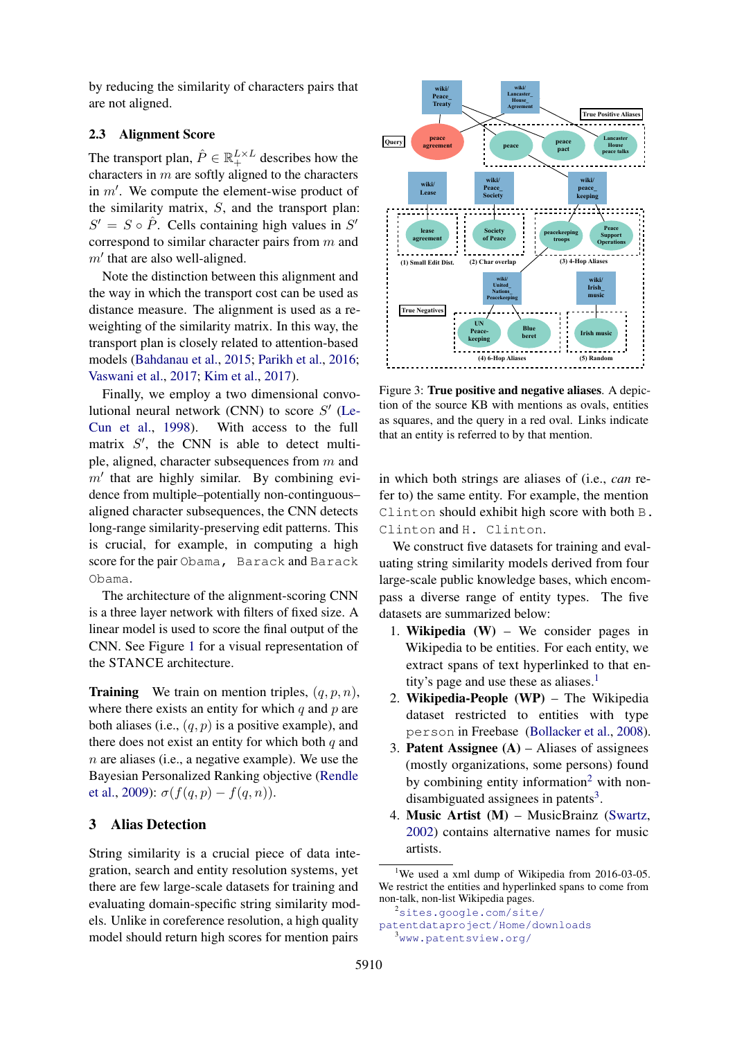by reducing the similarity of characters pairs that are not aligned.

## <span id="page-3-0"></span>2.3 Alignment Score

The transport plan,  $\hat{P} \in \mathbb{R}^{L \times L}_+$  describes how the characters in  $m$  are softly aligned to the characters in  $m'$ . We compute the element-wise product of the similarity matrix,  $S$ , and the transport plan:  $S' = S \circ \hat{P}$ . Cells containing high values in  $S'$ correspond to similar character pairs from m and  $m'$  that are also well-aligned.

Note the distinction between this alignment and the way in which the transport cost can be used as distance measure. The alignment is used as a reweighting of the similarity matrix. In this way, the transport plan is closely related to attention-based models [\(Bahdanau et al.,](#page-8-4) [2015;](#page-8-4) [Parikh et al.,](#page-10-5) [2016;](#page-10-5) [Vaswani et al.,](#page-10-6) [2017;](#page-10-6) [Kim et al.,](#page-9-14) [2017\)](#page-9-14).

Finally, we employ a two dimensional convolutional neural network (CNN) to score  $S'$  [\(Le-](#page-9-15)[Cun et al.,](#page-9-15) [1998\)](#page-9-15). With access to the full matrix  $S'$ , the CNN is able to detect multiple, aligned, character subsequences from m and  $m'$  that are highly similar. By combining evidence from multiple–potentially non-continguous– aligned character subsequences, the CNN detects long-range similarity-preserving edit patterns. This is crucial, for example, in computing a high score for the pair Obama, Barack and Barack Obama.

The architecture of the alignment-scoring CNN is a three layer network with filters of fixed size. A linear model is used to score the final output of the CNN. See Figure [1](#page-2-1) for a visual representation of the STANCE architecture.

**Training** We train on mention triples,  $(q, p, n)$ , where there exists an entity for which  $q$  and  $p$  are both aliases (i.e.,  $(q, p)$  is a positive example), and there does not exist an entity for which both  $q$  and n are aliases (i.e., a negative example). We use the Bayesian Personalized Ranking objective [\(Rendle](#page-10-7) [et al.,](#page-10-7) [2009\)](#page-10-7):  $\sigma(f(q, p) - f(q, n))$ .

# <span id="page-3-5"></span>3 Alias Detection

String similarity is a crucial piece of data integration, search and entity resolution systems, yet there are few large-scale datasets for training and evaluating domain-specific string similarity models. Unlike in coreference resolution, a high quality model should return high scores for mention pairs

<span id="page-3-4"></span>

Figure 3: True positive and negative aliases. A depiction of the source KB with mentions as ovals, entities as squares, and the query in a red oval. Links indicate that an entity is referred to by that mention.

in which both strings are aliases of (i.e., *can* refer to) the same entity. For example, the mention Clinton should exhibit high score with both B. Clinton and H. Clinton.

We construct five datasets for training and evaluating string similarity models derived from four large-scale public knowledge bases, which encompass a diverse range of entity types. The five datasets are summarized below:

- 1. Wikipedia (W) We consider pages in Wikipedia to be entities. For each entity, we extract spans of text hyperlinked to that en-tity's page and use these as aliases.<sup>[1](#page-3-1)</sup>
- 2. Wikipedia-People (WP) The Wikipedia dataset restricted to entities with type person in Freebase [\(Bollacker et al.,](#page-8-5) [2008\)](#page-8-5).
- 3. **Patent Assignee**  $(A)$  Aliases of assignees (mostly organizations, some persons) found by combining entity information<sup>[2](#page-3-2)</sup> with nondisambiguated assignees in patents $3$ .
- 4. Music Artist (M) MusicBrainz [\(Swartz,](#page-10-8) [2002\)](#page-10-8) contains alternative names for music artists.

<span id="page-3-1"></span><sup>1</sup>We used a xml dump of Wikipedia from  $2016-03-05$ . We restrict the entities and hyperlinked spans to come from non-talk, non-list Wikipedia pages.

<span id="page-3-3"></span><span id="page-3-2"></span><sup>2</sup>[sites.google.com/site/](sites.google.com/site/patentdataproject/Home/downloads) [patentdataproject/Home/downloads](sites.google.com/site/patentdataproject/Home/downloads) <sup>3</sup><www.patentsview.org/>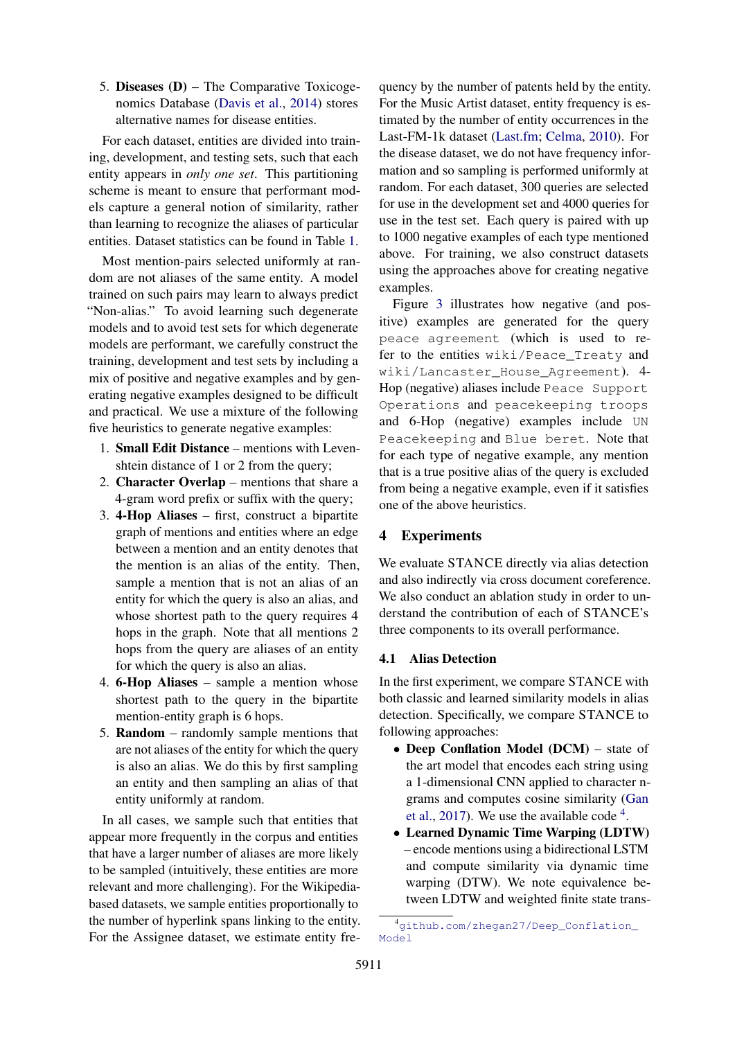5. Diseases (D) – The Comparative Toxicogenomics Database [\(Davis et al.,](#page-9-16) [2014\)](#page-9-16) stores alternative names for disease entities.

For each dataset, entities are divided into training, development, and testing sets, such that each entity appears in *only one set*. This partitioning scheme is meant to ensure that performant models capture a general notion of similarity, rather than learning to recognize the aliases of particular entities. Dataset statistics can be found in Table [1.](#page-5-0)

Most mention-pairs selected uniformly at random are not aliases of the same entity. A model trained on such pairs may learn to always predict "Non-alias." To avoid learning such degenerate models and to avoid test sets for which degenerate models are performant, we carefully construct the training, development and test sets by including a mix of positive and negative examples and by generating negative examples designed to be difficult and practical. We use a mixture of the following five heuristics to generate negative examples:

- 1. Small Edit Distance mentions with Levenshtein distance of 1 or 2 from the query;
- 2. Character Overlap mentions that share a 4-gram word prefix or suffix with the query;
- 3. 4-Hop Aliases first, construct a bipartite graph of mentions and entities where an edge between a mention and an entity denotes that the mention is an alias of the entity. Then, sample a mention that is not an alias of an entity for which the query is also an alias, and whose shortest path to the query requires 4 hops in the graph. Note that all mentions 2 hops from the query are aliases of an entity for which the query is also an alias.
- 4. 6-Hop Aliases sample a mention whose shortest path to the query in the bipartite mention-entity graph is 6 hops.
- 5. Random randomly sample mentions that are not aliases of the entity for which the query is also an alias. We do this by first sampling an entity and then sampling an alias of that entity uniformly at random.

In all cases, we sample such that entities that appear more frequently in the corpus and entities that have a larger number of aliases are more likely to be sampled (intuitively, these entities are more relevant and more challenging). For the Wikipediabased datasets, we sample entities proportionally to the number of hyperlink spans linking to the entity. For the Assignee dataset, we estimate entity fre-

quency by the number of patents held by the entity. For the Music Artist dataset, entity frequency is estimated by the number of entity occurrences in the Last-FM-1k dataset [\(Last.fm;](#page-9-17) [Celma,](#page-9-18) [2010\)](#page-9-18). For the disease dataset, we do not have frequency information and so sampling is performed uniformly at random. For each dataset, 300 queries are selected for use in the development set and 4000 queries for use in the test set. Each query is paired with up to 1000 negative examples of each type mentioned above. For training, we also construct datasets using the approaches above for creating negative examples.

Figure [3](#page-3-4) illustrates how negative (and positive) examples are generated for the query peace agreement (which is used to refer to the entities wiki/Peace\_Treaty and wiki/Lancaster\_House\_Agreement). 4- Hop (negative) aliases include Peace Support Operations and peacekeeping troops and 6-Hop (negative) examples include UN Peacekeeping and Blue beret. Note that for each type of negative example, any mention that is a true positive alias of the query is excluded from being a negative example, even if it satisfies one of the above heuristics.

## 4 Experiments

We evaluate STANCE directly via alias detection and also indirectly via cross document coreference. We also conduct an ablation study in order to understand the contribution of each of STANCE's three components to its overall performance.

## 4.1 Alias Detection

In the first experiment, we compare STANCE with both classic and learned similarity models in alias detection. Specifically, we compare STANCE to following approaches:

- Deep Conflation Model (DCM) state of the art model that encodes each string using a 1-dimensional CNN applied to character ngrams and computes cosine similarity [\(Gan](#page-9-3) [et al.,](#page-9-3) [2017\)](#page-9-3). We use the available code  $4$ .
- Learned Dynamic Time Warping (LDTW) – encode mentions using a bidirectional LSTM and compute similarity via dynamic time warping (DTW). We note equivalence between LDTW and weighted finite state trans-

<span id="page-4-0"></span><sup>4</sup>[github.com/zhegan27/Deep\\_Conflation\\_](github.com/zhegan27/Deep_Conflation_Model) [Model](github.com/zhegan27/Deep_Conflation_Model)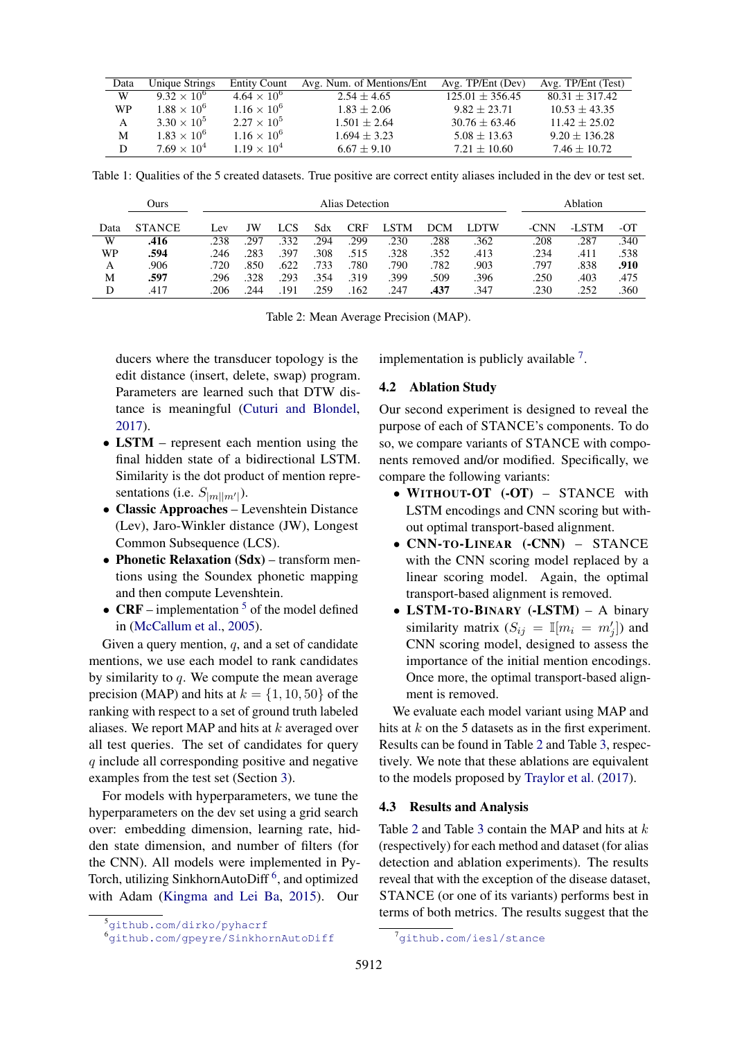<span id="page-5-0"></span>

| Data      | Unique Strings       | <b>Entity Count</b>  | Avg. Num. of Mentions/Ent | Avg. TP/Ent (Dev) | Avg. TP/Ent (Test) |
|-----------|----------------------|----------------------|---------------------------|-------------------|--------------------|
| W         | $9.32 \times 10^6$   | $4.64 \times 10^{6}$ | $2.54 + 4.65$             | $125.01 + 356.45$ | $80.31 + 317.42$   |
| <b>WP</b> | $1.88 \times 10^{6}$ | $1.16 \times 10^{6}$ | $1.83 + 2.06$             | $9.82 + 23.71$    | $10.53 \pm 43.35$  |
| A         | $3.30 \times 10^{5}$ | $2.27 \times 10^{5}$ | $1.501 + 2.64$            | $30.76 \pm 63.46$ | $11.42 \pm 25.02$  |
| M         | $1.83 \times 10^{6}$ | $1.16 \times 10^{6}$ | $1.694 + 3.23$            | $5.08 \pm 13.63$  | $9.20 \pm 136.28$  |
| D         | $7.69 \times 10^{4}$ | $1.19 \times 10^{4}$ | $6.67 + 9.10$             | $7.21 + 10.60$    | $7.46 \pm 10.72$   |

Table 1: Qualities of the 5 created datasets. True positive are correct entity aliases included in the dev or test set.

<span id="page-5-4"></span>

|      | Ours          |      | Alias Detection |      |      |      |      |      |      |  | Ablation |       |      |
|------|---------------|------|-----------------|------|------|------|------|------|------|--|----------|-------|------|
| Data | <b>STANCE</b> | Lev  | JW              | LCS  | Sdx  | CRF  | .STM | DCM. | LDTW |  | -CNN     | -LSTM | -OT  |
| W    | .416          | .238 | 297             | .332 | .294 | .299 | .230 | .288 | .362 |  | .208     | .287  | .340 |
| WP   | .594          | .246 | 283             | .397 | .308 | .515 | .328 | .352 | .413 |  | .234     | .411  | .538 |
| A    | .906          | .720 | .850            | .622 | .733 | .780 | .790 | .782 | .903 |  | .797     | .838  | .910 |
| M    | .597          | .296 | .328            | .293 | .354 | .319 | .399 | .509 | .396 |  | .250     | .403  | .475 |
| D    | .417          | 206  | 244             | 191  | .259 | 162  | .247 | .437 | .347 |  | .230     | .252  | .360 |

Table 2: Mean Average Precision (MAP).

ducers where the transducer topology is the edit distance (insert, delete, swap) program. Parameters are learned such that DTW distance is meaningful [\(Cuturi and Blondel,](#page-9-19) [2017\)](#page-9-19).

- LSTM represent each mention using the final hidden state of a bidirectional LSTM. Similarity is the dot product of mention representations (i.e.  $S_{|m||m'|}$ ).
- Classic Approaches Levenshtein Distance (Lev), Jaro-Winkler distance (JW), Longest Common Subsequence (LCS).
- Phonetic Relaxation (Sdx) transform mentions using the Soundex phonetic mapping and then compute Levenshtein.
- CRF implementation  $<sup>5</sup>$  $<sup>5</sup>$  $<sup>5</sup>$  of the model defined</sup> in [\(McCallum et al.,](#page-10-0) [2005\)](#page-10-0).

Given a query mention,  $q$ , and a set of candidate mentions, we use each model to rank candidates by similarity to  $q$ . We compute the mean average precision (MAP) and hits at  $k = \{1, 10, 50\}$  of the ranking with respect to a set of ground truth labeled aliases. We report MAP and hits at  $k$  averaged over all test queries. The set of candidates for query q include all corresponding positive and negative examples from the test set (Section [3\)](#page-3-5).

For models with hyperparameters, we tune the hyperparameters on the dev set using a grid search over: embedding dimension, learning rate, hidden state dimension, and number of filters (for the CNN). All models were implemented in Py-Torch, utilizing SinkhornAutoDiff<sup>[6](#page-5-2)</sup>, and optimized with Adam [\(Kingma and Lei Ba,](#page-9-20) [2015\)](#page-9-20). Our implementation is publicly available  $<sup>7</sup>$  $<sup>7</sup>$  $<sup>7</sup>$ .</sup>

#### 4.2 Ablation Study

Our second experiment is designed to reveal the purpose of each of STANCE's components. To do so, we compare variants of STANCE with components removed and/or modified. Specifically, we compare the following variants:

- WITHOUT-OT (-OT) STANCE with LSTM encodings and CNN scoring but without optimal transport-based alignment.
- CNN-TO-LINEAR (-CNN) STANCE with the CNN scoring model replaced by a linear scoring model. Again, the optimal transport-based alignment is removed.
- LSTM-TO-BINARY (-LSTM) A binary similarity matrix  $(S_{ij} = \mathbb{I}[m_i = m'_j])$  and CNN scoring model, designed to assess the importance of the initial mention encodings. Once more, the optimal transport-based alignment is removed.

We evaluate each model variant using MAP and hits at  $k$  on the 5 datasets as in the first experiment. Results can be found in Table [2](#page-5-4) and Table [3,](#page-6-0) respectively. We note that these ablations are equivalent to the models proposed by [Traylor et al.](#page-10-9) [\(2017\)](#page-10-9).

### 4.3 Results and Analysis

Table [2](#page-5-4) and Table [3](#page-6-0) contain the MAP and hits at  $k$ (respectively) for each method and dataset (for alias detection and ablation experiments). The results reveal that with the exception of the disease dataset, STANCE (or one of its variants) performs best in terms of both metrics. The results suggest that the

<span id="page-5-1"></span><sup>5</sup><github.com/dirko/pyhacrf>

<span id="page-5-2"></span><sup>6</sup><github.com/gpeyre/SinkhornAutoDiff>

<span id="page-5-3"></span><sup>&</sup>lt;sup>7</sup><github.com/iesl/stance>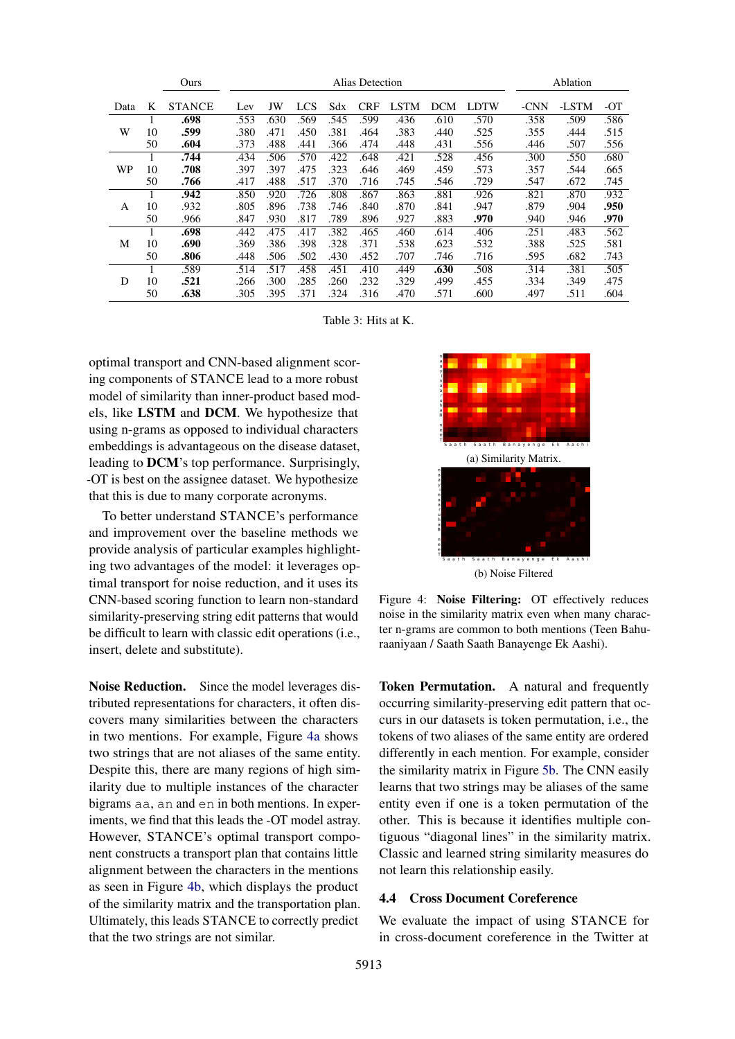<span id="page-6-0"></span>

|      |              | Ours          | Alias Detection |      |            |      |            |             | Ablation   |             |      |       |      |
|------|--------------|---------------|-----------------|------|------------|------|------------|-------------|------------|-------------|------|-------|------|
| Data | K            | <b>STANCE</b> | Lev             | JW   | <b>LCS</b> | Sdx  | <b>CRF</b> | <b>LSTM</b> | <b>DCM</b> | <b>LDTW</b> | -CNN | -LSTM | -OT  |
| W    |              | .698          | .553            | .630 | .569       | .545 | .599       | .436        | .610       | .570        | .358 | .509  | .586 |
|      | 10           | .599          | .380            | .471 | .450       | .381 | .464       | .383        | .440       | .525        | .355 | .444  | .515 |
|      | 50           | .604          | .373            | .488 | .441       | .366 | .474       | .448        | .431       | .556        | .446 | .507  | .556 |
|      |              | .744          | .434            | .506 | .570       | .422 | .648       | .421        | .528       | .456        | .300 | .550  | .680 |
| WP   | 10           | .708          | .397            | .397 | .475       | .323 | .646       | .469        | .459       | .573        | .357 | .544  | .665 |
|      | 50           | .766          | .417            | .488 | .517       | .370 | .716       | .745        | .546       | .729        | .547 | .672  | .745 |
|      | $\mathbf{I}$ | .942          | .850            | .920 | .726       | .808 | .867       | .863        | .881       | .926        | .821 | .870  | .932 |
| A    | 10           | .932          | .805            | .896 | .738       | .746 | .840       | .870        | .841       | .947        | .879 | .904  | .950 |
|      | 50           | .966          | .847            | .930 | .817       | .789 | .896       | .927        | .883       | .970        | .940 | .946  | .970 |
| М    | л.           | .698          | .442            | .475 | .417       | .382 | .465       | .460        | .614       | .406        | .251 | .483  | .562 |
|      | 10           | .690          | .369            | .386 | .398       | .328 | .371       | .538        | .623       | .532        | .388 | .525  | .581 |
|      | 50           | .806          | .448            | .506 | .502       | .430 | .452       | .707        | .746       | .716        | .595 | .682  | .743 |
| D    |              | .589          | .514            | .517 | .458       | .451 | .410       | .449        | .630       | .508        | .314 | .381  | .505 |
|      | 10           | .521          | .266            | .300 | .285       | .260 | .232       | .329        | .499       | .455        | .334 | .349  | .475 |
|      | 50           | .638          | .305            | .395 | .371       | .324 | .316       | .470        | .571       | .600        | .497 | .511  | .604 |

Table 3: Hits at K.

optimal transport and CNN-based alignment scoring components of STANCE lead to a more robust model of similarity than inner-product based models, like LSTM and DCM. We hypothesize that using n-grams as opposed to individual characters embeddings is advantageous on the disease dataset, leading to DCM's top performance. Surprisingly, -OT is best on the assignee dataset. We hypothesize that this is due to many corporate acronyms.

To better understand STANCE's performance and improvement over the baseline methods we provide analysis of particular examples highlighting two advantages of the model: it leverages optimal transport for noise reduction, and it uses its CNN-based scoring function to learn non-standard similarity-preserving string edit patterns that would be difficult to learn with classic edit operations (i.e., insert, delete and substitute).

Noise Reduction. Since the model leverages distributed representations for characters, it often discovers many similarities between the characters in two mentions. For example, Figure [4a](#page-6-1) shows two strings that are not aliases of the same entity. Despite this, there are many regions of high similarity due to multiple instances of the character bigrams aa, an and en in both mentions. In experiments, we find that this leads the -OT model astray. However, STANCE's optimal transport component constructs a transport plan that contains little alignment between the characters in the mentions as seen in Figure [4b,](#page-6-1) which displays the product of the similarity matrix and the transportation plan. Ultimately, this leads STANCE to correctly predict that the two strings are not similar.

<span id="page-6-1"></span>

Figure 4: Noise Filtering: OT effectively reduces noise in the similarity matrix even when many character n-grams are common to both mentions (Teen Bahuraaniyaan / Saath Saath Banayenge Ek Aashi).

Token Permutation. A natural and frequently occurring similarity-preserving edit pattern that occurs in our datasets is token permutation, i.e., the tokens of two aliases of the same entity are ordered differently in each mention. For example, consider the similarity matrix in Figure [5b.](#page-7-0) The CNN easily learns that two strings may be aliases of the same entity even if one is a token permutation of the other. This is because it identifies multiple contiguous "diagonal lines" in the similarity matrix. Classic and learned string similarity measures do not learn this relationship easily.

## 4.4 Cross Document Coreference

We evaluate the impact of using STANCE for in cross-document coreference in the Twitter at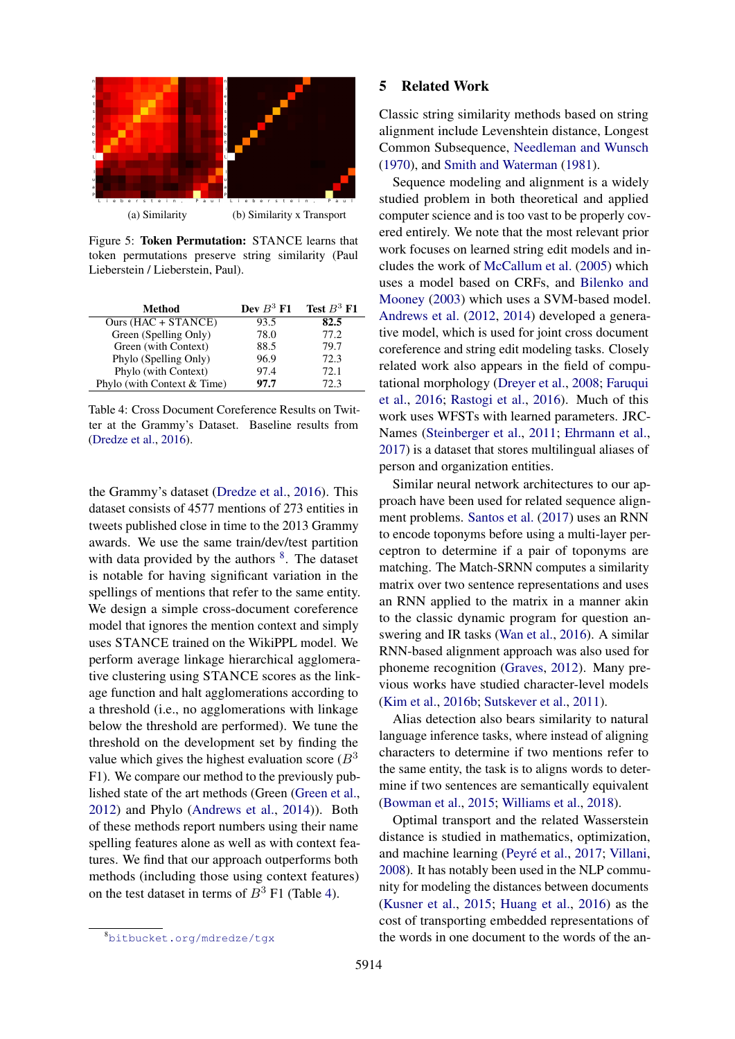<span id="page-7-0"></span>

Figure 5: Token Permutation: STANCE learns that token permutations preserve string similarity (Paul Lieberstein / Lieberstein, Paul).

<span id="page-7-2"></span>

| Method                      | Dev $B^3$ F1 | Test $B^3$ F1 |
|-----------------------------|--------------|---------------|
| Ours $(HAC + STANCE)$       | 93.5         | 82.5          |
| Green (Spelling Only)       | 78.0         | 77.2          |
| Green (with Context)        | 88.5         | 79.7          |
| Phylo (Spelling Only)       | 96.9         | 72.3          |
| Phylo (with Context)        | 97.4         | 72.1          |
| Phylo (with Context & Time) | 97.7         | 72.3          |

Table 4: Cross Document Coreference Results on Twitter at the Grammy's Dataset. Baseline results from [\(Dredze et al.,](#page-9-6) [2016\)](#page-9-6).

the Grammy's dataset [\(Dredze et al.,](#page-9-6) [2016\)](#page-9-6). This dataset consists of 4577 mentions of 273 entities in tweets published close in time to the 2013 Grammy awards. We use the same train/dev/test partition with data provided by the authors  $8$ . The dataset is notable for having significant variation in the spellings of mentions that refer to the same entity. We design a simple cross-document coreference model that ignores the mention context and simply uses STANCE trained on the WikiPPL model. We perform average linkage hierarchical agglomerative clustering using STANCE scores as the linkage function and halt agglomerations according to a threshold (i.e., no agglomerations with linkage below the threshold are performed). We tune the threshold on the development set by finding the value which gives the highest evaluation score ( $B<sup>3</sup>$ ) F1). We compare our method to the previously published state of the art methods (Green [\(Green et al.,](#page-9-21) [2012\)](#page-9-21) and Phylo [\(Andrews et al.,](#page-8-6) [2014\)](#page-8-6)). Both of these methods report numbers using their name spelling features alone as well as with context features. We find that our approach outperforms both methods (including those using context features) on the test dataset in terms of  $B^3$  F1 (Table [4\)](#page-7-2).

# 5914

#### 5 Related Work

Classic string similarity methods based on string alignment include Levenshtein distance, Longest Common Subsequence, [Needleman and Wunsch](#page-10-2) [\(1970\)](#page-10-2), and [Smith and Waterman](#page-10-3) [\(1981\)](#page-10-3).

Sequence modeling and alignment is a widely studied problem in both theoretical and applied computer science and is too vast to be properly covered entirely. We note that the most relevant prior work focuses on learned string edit models and includes the work of [McCallum et al.](#page-10-0) [\(2005\)](#page-10-0) which uses a model based on CRFs, and [Bilenko and](#page-8-0) [Mooney](#page-8-0) [\(2003\)](#page-8-0) which uses a SVM-based model. [Andrews et al.](#page-8-7) [\(2012,](#page-8-7) [2014\)](#page-8-6) developed a generative model, which is used for joint cross document coreference and string edit modeling tasks. Closely related work also appears in the field of computational morphology [\(Dreyer et al.,](#page-9-22) [2008;](#page-9-22) [Faruqui](#page-9-23) [et al.,](#page-9-23) [2016;](#page-9-23) [Rastogi et al.,](#page-10-10) [2016\)](#page-10-10). Much of this work uses WFSTs with learned parameters. JRC-Names [\(Steinberger et al.,](#page-10-11) [2011;](#page-10-11) [Ehrmann et al.,](#page-9-24) [2017\)](#page-9-24) is a dataset that stores multilingual aliases of person and organization entities.

Similar neural network architectures to our approach have been used for related sequence alignment problems. [Santos et al.](#page-10-12) [\(2017\)](#page-10-12) uses an RNN to encode toponyms before using a multi-layer perceptron to determine if a pair of toponyms are matching. The Match-SRNN computes a similarity matrix over two sentence representations and uses an RNN applied to the matrix in a manner akin to the classic dynamic program for question answering and IR tasks [\(Wan et al.,](#page-10-13) [2016\)](#page-10-13). A similar RNN-based alignment approach was also used for phoneme recognition [\(Graves,](#page-9-25) [2012\)](#page-9-25). Many previous works have studied character-level models [\(Kim et al.,](#page-9-26) [2016b;](#page-9-26) [Sutskever et al.,](#page-10-14) [2011\)](#page-10-14).

Alias detection also bears similarity to natural language inference tasks, where instead of aligning characters to determine if two mentions refer to the same entity, the task is to aligns words to determine if two sentences are semantically equivalent [\(Bowman et al.,](#page-8-8) [2015;](#page-8-8) [Williams et al.,](#page-10-15) [2018\)](#page-10-15).

Optimal transport and the related Wasserstein distance is studied in mathematics, optimization, and machine learning [\(Peyré et al.,](#page-10-16) [2017;](#page-10-16) [Villani,](#page-10-17) [2008\)](#page-10-17). It has notably been used in the NLP community for modeling the distances between documents [\(Kusner et al.,](#page-9-11) [2015;](#page-9-11) [Huang et al.,](#page-9-12) [2016\)](#page-9-12) as the cost of transporting embedded representations of the words in one document to the words of the an-

<span id="page-7-1"></span><sup>8</sup><bitbucket.org/mdredze/tgx>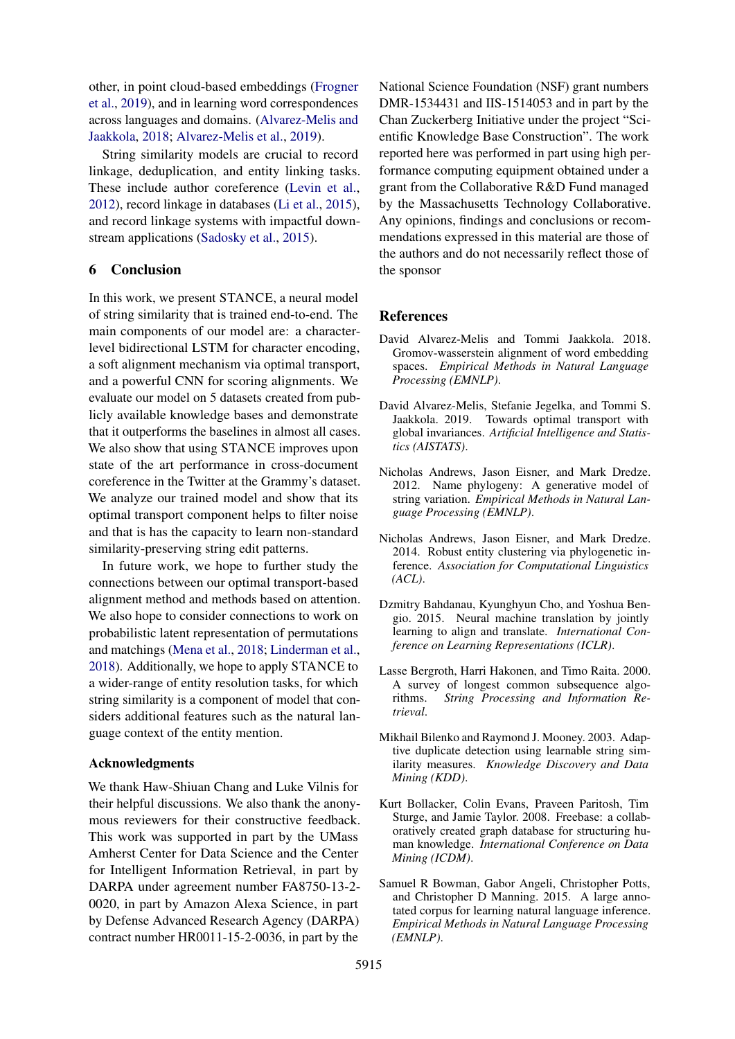other, in point cloud-based embeddings [\(Frogner](#page-9-13) [et al.,](#page-9-13) [2019\)](#page-9-13), and in learning word correspondences across languages and domains. [\(Alvarez-Melis and](#page-8-2) [Jaakkola,](#page-8-2) [2018;](#page-8-2) [Alvarez-Melis et al.,](#page-8-3) [2019\)](#page-8-3).

String similarity models are crucial to record linkage, deduplication, and entity linking tasks. These include author coreference [\(Levin et al.,](#page-9-1) [2012\)](#page-9-1), record linkage in databases [\(Li et al.,](#page-9-0) [2015\)](#page-9-0), and record linkage systems with impactful downstream applications [\(Sadosky et al.,](#page-10-18) [2015\)](#page-10-18).

## 6 Conclusion

In this work, we present STANCE, a neural model of string similarity that is trained end-to-end. The main components of our model are: a characterlevel bidirectional LSTM for character encoding, a soft alignment mechanism via optimal transport, and a powerful CNN for scoring alignments. We evaluate our model on 5 datasets created from publicly available knowledge bases and demonstrate that it outperforms the baselines in almost all cases. We also show that using STANCE improves upon state of the art performance in cross-document coreference in the Twitter at the Grammy's dataset. We analyze our trained model and show that its optimal transport component helps to filter noise and that is has the capacity to learn non-standard similarity-preserving string edit patterns.

In future work, we hope to further study the connections between our optimal transport-based alignment method and methods based on attention. We also hope to consider connections to work on probabilistic latent representation of permutations and matchings [\(Mena et al.,](#page-10-19) [2018;](#page-10-19) [Linderman et al.,](#page-9-27) [2018\)](#page-9-27). Additionally, we hope to apply STANCE to a wider-range of entity resolution tasks, for which string similarity is a component of model that considers additional features such as the natural language context of the entity mention.

### Acknowledgments

We thank Haw-Shiuan Chang and Luke Vilnis for their helpful discussions. We also thank the anonymous reviewers for their constructive feedback. This work was supported in part by the UMass Amherst Center for Data Science and the Center for Intelligent Information Retrieval, in part by DARPA under agreement number FA8750-13-2- 0020, in part by Amazon Alexa Science, in part by Defense Advanced Research Agency (DARPA) contract number HR0011-15-2-0036, in part by the

National Science Foundation (NSF) grant numbers DMR-1534431 and IIS-1514053 and in part by the Chan Zuckerberg Initiative under the project "Scientific Knowledge Base Construction". The work reported here was performed in part using high performance computing equipment obtained under a grant from the Collaborative R&D Fund managed by the Massachusetts Technology Collaborative. Any opinions, findings and conclusions or recommendations expressed in this material are those of the authors and do not necessarily reflect those of the sponsor

#### **References**

- <span id="page-8-2"></span>David Alvarez-Melis and Tommi Jaakkola. 2018. Gromov-wasserstein alignment of word embedding spaces. *Empirical Methods in Natural Language Processing (EMNLP)*.
- <span id="page-8-3"></span>David Alvarez-Melis, Stefanie Jegelka, and Tommi S. Jaakkola. 2019. Towards optimal transport with global invariances. *Artificial Intelligence and Statistics (AISTATS)*.
- <span id="page-8-7"></span>Nicholas Andrews, Jason Eisner, and Mark Dredze. 2012. Name phylogeny: A generative model of string variation. *Empirical Methods in Natural Language Processing (EMNLP)*.
- <span id="page-8-6"></span>Nicholas Andrews, Jason Eisner, and Mark Dredze. 2014. Robust entity clustering via phylogenetic inference. *Association for Computational Linguistics (ACL)*.
- <span id="page-8-4"></span>Dzmitry Bahdanau, Kyunghyun Cho, and Yoshua Bengio. 2015. Neural machine translation by jointly learning to align and translate. *International Conference on Learning Representations (ICLR)*.
- <span id="page-8-1"></span>Lasse Bergroth, Harri Hakonen, and Timo Raita. 2000. A survey of longest common subsequence algorithms. *String Processing and Information Retrieval*.
- <span id="page-8-0"></span>Mikhail Bilenko and Raymond J. Mooney. 2003. Adaptive duplicate detection using learnable string similarity measures. *Knowledge Discovery and Data Mining (KDD)*.
- <span id="page-8-5"></span>Kurt Bollacker, Colin Evans, Praveen Paritosh, Tim Sturge, and Jamie Taylor. 2008. Freebase: a collaboratively created graph database for structuring human knowledge. *International Conference on Data Mining (ICDM)*.
- <span id="page-8-8"></span>Samuel R Bowman, Gabor Angeli, Christopher Potts, and Christopher D Manning. 2015. A large annotated corpus for learning natural language inference. *Empirical Methods in Natural Language Processing (EMNLP)*.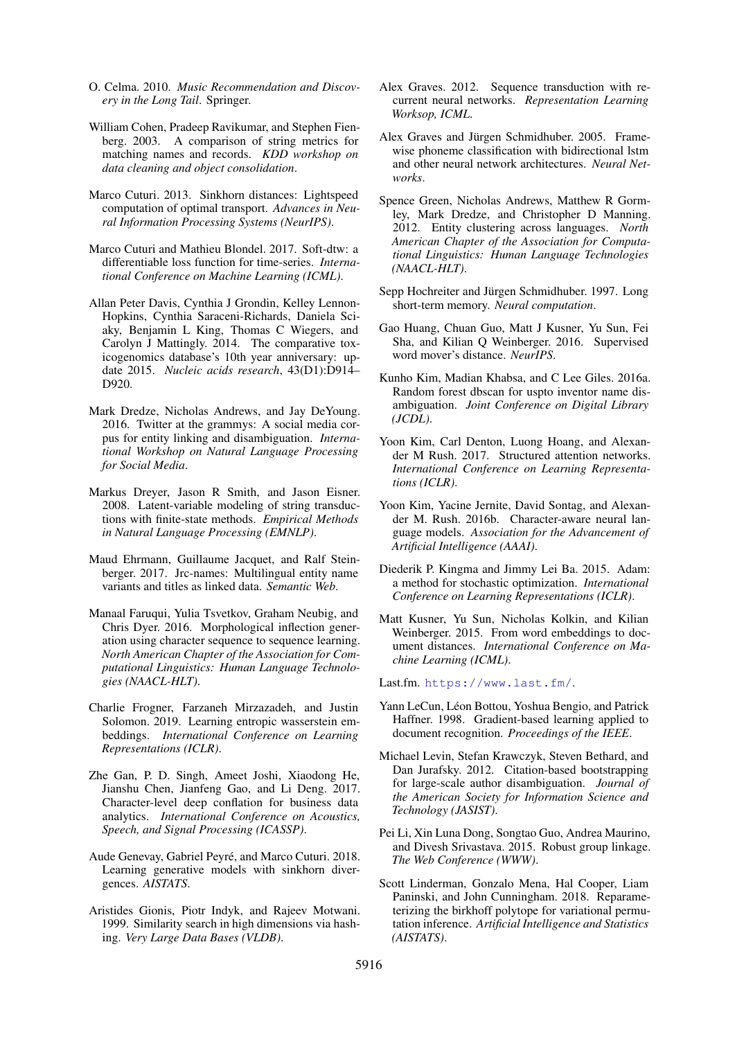- <span id="page-9-18"></span>O. Celma. 2010. *Music Recommendation and Discovery in the Long Tail*. Springer.
- <span id="page-9-5"></span>William Cohen, Pradeep Ravikumar, and Stephen Fienberg. 2003. A comparison of string metrics for matching names and records. *KDD workshop on data cleaning and object consolidation*.
- <span id="page-9-9"></span>Marco Cuturi. 2013. Sinkhorn distances: Lightspeed computation of optimal transport. *Advances in Neural Information Processing Systems (NeurIPS)*.
- <span id="page-9-19"></span>Marco Cuturi and Mathieu Blondel. 2017. Soft-dtw: a differentiable loss function for time-series. *International Conference on Machine Learning (ICML)*.
- <span id="page-9-16"></span>Allan Peter Davis, Cynthia J Grondin, Kelley Lennon-Hopkins, Cynthia Saraceni-Richards, Daniela Sciaky, Benjamin L King, Thomas C Wiegers, and Carolyn J Mattingly. 2014. The comparative toxicogenomics database's 10th year anniversary: update 2015. *Nucleic acids research*, 43(D1):D914– D920.
- <span id="page-9-6"></span>Mark Dredze, Nicholas Andrews, and Jay DeYoung. 2016. Twitter at the grammys: A social media corpus for entity linking and disambiguation. *International Workshop on Natural Language Processing for Social Media*.
- <span id="page-9-22"></span>Markus Dreyer, Jason R Smith, and Jason Eisner. 2008. Latent-variable modeling of string transductions with finite-state methods. *Empirical Methods in Natural Language Processing (EMNLP)*.
- <span id="page-9-24"></span>Maud Ehrmann, Guillaume Jacquet, and Ralf Steinberger. 2017. Jrc-names: Multilingual entity name variants and titles as linked data. *Semantic Web*.
- <span id="page-9-23"></span>Manaal Faruqui, Yulia Tsvetkov, Graham Neubig, and Chris Dyer. 2016. Morphological inflection generation using character sequence to sequence learning. *North American Chapter of the Association for Computational Linguistics: Human Language Technologies (NAACL-HLT)*.
- <span id="page-9-13"></span>Charlie Frogner, Farzaneh Mirzazadeh, and Justin Solomon. 2019. Learning entropic wasserstein embeddings. *International Conference on Learning Representations (ICLR)*.
- <span id="page-9-3"></span>Zhe Gan, P. D. Singh, Ameet Joshi, Xiaodong He, Jianshu Chen, Jianfeng Gao, and Li Deng. 2017. Character-level deep conflation for business data analytics. *International Conference on Acoustics, Speech, and Signal Processing (ICASSP)*.
- <span id="page-9-10"></span>Aude Genevay, Gabriel Peyré, and Marco Cuturi. 2018. Learning generative models with sinkhorn divergences. *AISTATS*.
- <span id="page-9-4"></span>Aristides Gionis, Piotr Indyk, and Rajeev Motwani. 1999. Similarity search in high dimensions via hashing. *Very Large Data Bases (VLDB)*.
- <span id="page-9-25"></span>Alex Graves. 2012. Sequence transduction with recurrent neural networks. *Representation Learning Worksop, ICML*.
- <span id="page-9-8"></span>Alex Graves and Jürgen Schmidhuber. 2005. Framewise phoneme classification with bidirectional lstm and other neural network architectures. *Neural Networks*.
- <span id="page-9-21"></span>Spence Green, Nicholas Andrews, Matthew R Gormley, Mark Dredze, and Christopher D Manning. 2012. Entity clustering across languages. *North American Chapter of the Association for Computational Linguistics: Human Language Technologies (NAACL-HLT)*.
- <span id="page-9-7"></span>Sepp Hochreiter and Jürgen Schmidhuber. 1997. Long short-term memory. *Neural computation*.
- <span id="page-9-12"></span>Gao Huang, Chuan Guo, Matt J Kusner, Yu Sun, Fei Sha, and Kilian Q Weinberger. 2016. Supervised word mover's distance. *NeurIPS*.
- <span id="page-9-2"></span>Kunho Kim, Madian Khabsa, and C Lee Giles. 2016a. Random forest dbscan for uspto inventor name disambiguation. *Joint Conference on Digital Library (JCDL)*.
- <span id="page-9-14"></span>Yoon Kim, Carl Denton, Luong Hoang, and Alexander M Rush. 2017. Structured attention networks. *International Conference on Learning Representations (ICLR)*.
- <span id="page-9-26"></span>Yoon Kim, Yacine Jernite, David Sontag, and Alexander M. Rush. 2016b. Character-aware neural language models. *Association for the Advancement of Artificial Intelligence (AAAI)*.
- <span id="page-9-20"></span>Diederik P. Kingma and Jimmy Lei Ba. 2015. Adam: a method for stochastic optimization. *International Conference on Learning Representations (ICLR)*.
- <span id="page-9-11"></span>Matt Kusner, Yu Sun, Nicholas Kolkin, and Kilian Weinberger. 2015. From word embeddings to document distances. *International Conference on Machine Learning (ICML)*.

<span id="page-9-17"></span>Last.fm. <https://www.last.fm/>.

- <span id="page-9-15"></span>Yann LeCun, Léon Bottou, Yoshua Bengio, and Patrick Haffner. 1998. Gradient-based learning applied to document recognition. *Proceedings of the IEEE*.
- <span id="page-9-1"></span>Michael Levin, Stefan Krawczyk, Steven Bethard, and Dan Jurafsky. 2012. Citation-based bootstrapping for large-scale author disambiguation. *Journal of the American Society for Information Science and Technology (JASIST)*.
- <span id="page-9-0"></span>Pei Li, Xin Luna Dong, Songtao Guo, Andrea Maurino, and Divesh Srivastava. 2015. Robust group linkage. *The Web Conference (WWW)*.
- <span id="page-9-27"></span>Scott Linderman, Gonzalo Mena, Hal Cooper, Liam Paninski, and John Cunningham. 2018. Reparameterizing the birkhoff polytope for variational permutation inference. *Artificial Intelligence and Statistics (AISTATS)*.